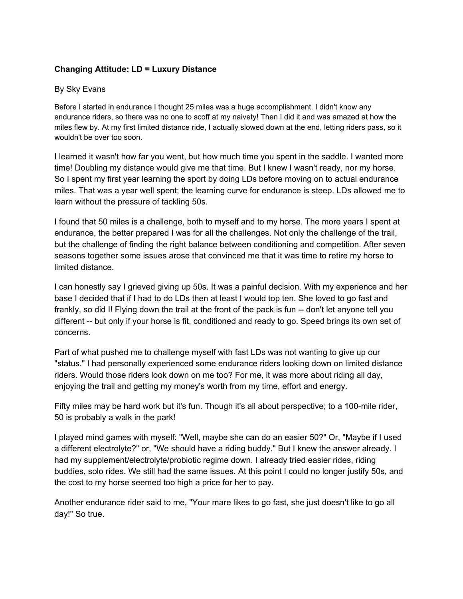## **Changing Attitude: LD = Luxury Distance**

## By Sky Evans

Before I started in endurance I thought 25 miles was a huge accomplishment. I didn't know any endurance riders, so there was no one to scoff at my naivety! Then I did it and was amazed at how the miles flew by. At my first limited distance ride, I actually slowed down at the end, letting riders pass, so it wouldn't be over too soon.

I learned it wasn't how far you went, but how much time you spent in the saddle. I wanted more time! Doubling my distance would give me that time. But I knew I wasn't ready, nor my horse. So I spent my first year learning the sport by doing LDs before moving on to actual endurance miles. That was a year well spent; the learning curve for endurance is steep. LDs allowed me to learn without the pressure of tackling 50s.

I found that 50 miles is a challenge, both to myself and to my horse. The more years I spent at endurance, the better prepared I was for all the challenges. Not only the challenge of the trail, but the challenge of finding the right balance between conditioning and competition. After seven seasons together some issues arose that convinced me that it was time to retire my horse to limited distance.

I can honestly say I grieved giving up 50s. It was a painful decision. With my experience and her base I decided that if I had to do LDs then at least I would top ten. She loved to go fast and frankly, so did I! Flying down the trail at the front of the pack is fun -- don't let anyone tell you different -- but only if your horse is fit, conditioned and ready to go. Speed brings its own set of concerns.

Part of what pushed me to challenge myself with fast LDs was not wanting to give up our "status." I had personally experienced some endurance riders looking down on limited distance riders. Would those riders look down on me too? For me, it was more about riding all day, enjoying the trail and getting my money's worth from my time, effort and energy.

Fifty miles may be hard work but it's fun. Though it's all about perspective; to a 100-mile rider, 50 is probably a walk in the park!

I played mind games with myself: "Well, maybe she can do an easier 50?" Or, "Maybe if I used a different electrolyte?" or, "We should have a riding buddy." But I knew the answer already. I had my supplement/electrolyte/probiotic regime down. I already tried easier rides, riding buddies, solo rides. We still had the same issues. At this point I could no longer justify 50s, and the cost to my horse seemed too high a price for her to pay.

Another endurance rider said to me, "Your mare likes to go fast, she just doesn't like to go all day!" So true.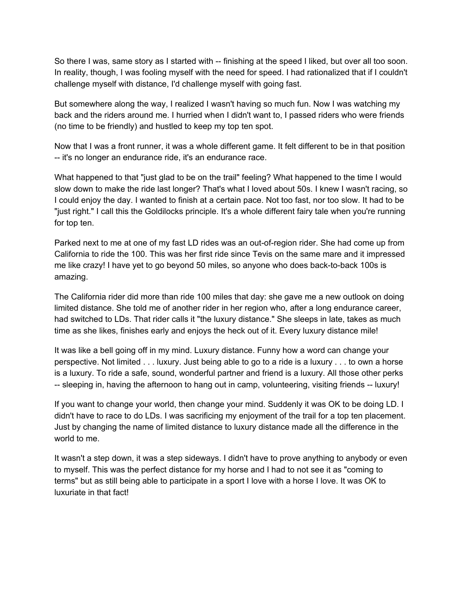So there I was, same story as I started with -- finishing at the speed I liked, but over all too soon. In reality, though, I was fooling myself with the need for speed. I had rationalized that if I couldn't challenge myself with distance, I'd challenge myself with going fast.

But somewhere along the way, I realized I wasn't having so much fun. Now I was watching my back and the riders around me. I hurried when I didn't want to, I passed riders who were friends (no time to be friendly) and hustled to keep my top ten spot.

Now that I was a front runner, it was a whole different game. It felt different to be in that position -- it's no longer an endurance ride, it's an endurance race.

What happened to that "just glad to be on the trail" feeling? What happened to the time I would slow down to make the ride last longer? That's what I loved about 50s. I knew I wasn't racing, so I could enjoy the day. I wanted to finish at a certain pace. Not too fast, nor too slow. It had to be "just right." I call this the Goldilocks principle. It's a whole different fairy tale when you're running for top ten.

Parked next to me at one of my fast LD rides was an out-of-region rider. She had come up from California to ride the 100. This was her first ride since Tevis on the same mare and it impressed me like crazy! I have yet to go beyond 50 miles, so anyone who does back-to-back 100s is amazing.

The California rider did more than ride 100 miles that day: she gave me a new outlook on doing limited distance. She told me of another rider in her region who, after a long endurance career, had switched to LDs. That rider calls it "the luxury distance." She sleeps in late, takes as much time as she likes, finishes early and enjoys the heck out of it. Every luxury distance mile!

It was like a bell going off in my mind. Luxury distance. Funny how a word can change your perspective. Not limited . . . luxury. Just being able to go to a ride is a luxury . . . to own a horse is a luxury. To ride a safe, sound, wonderful partner and friend is a luxury. All those other perks -- sleeping in, having the afternoon to hang out in camp, volunteering, visiting friends -- luxury!

If you want to change your world, then change your mind. Suddenly it was OK to be doing LD. I didn't have to race to do LDs. I was sacrificing my enjoyment of the trail for a top ten placement. Just by changing the name of limited distance to luxury distance made all the difference in the world to me.

It wasn't a step down, it was a step sideways. I didn't have to prove anything to anybody or even to myself. This was the perfect distance for my horse and I had to not see it as "coming to terms" but as still being able to participate in a sport I love with a horse I love. It was OK to luxuriate in that fact!